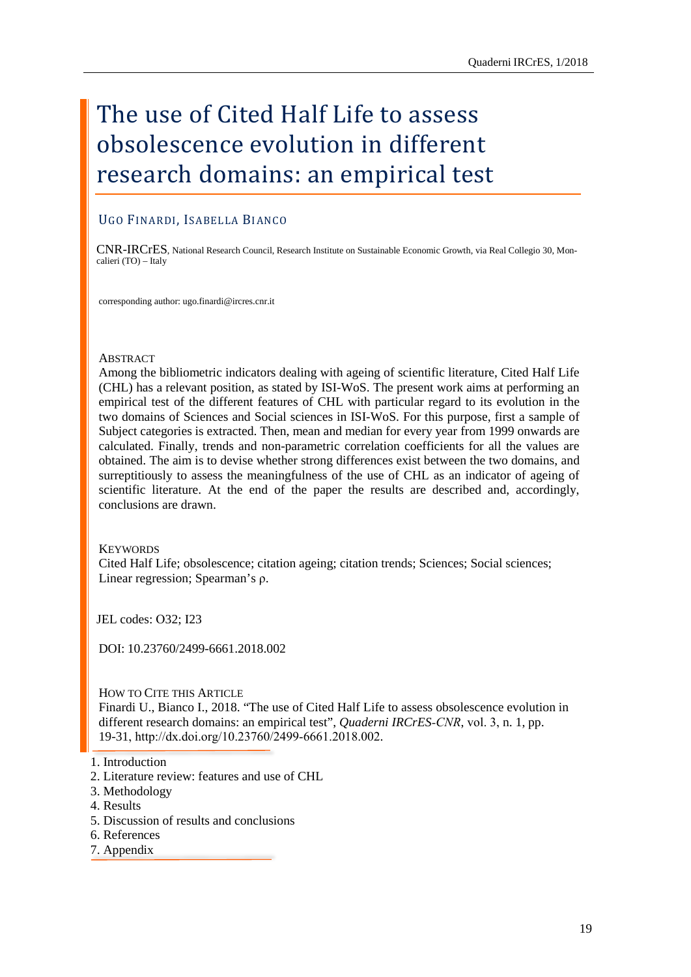# The use of Cited Half Life to assess obsolescence evolution in different research domains: an empirical test

## UGO FINARDI, ISABELLA BIANCO

CNR-IRCrES, National Research Council, Research Institute on Sustainable Economic Growth, via Real Collegio 30, Moncalieri (TO) – Italy

corresponding author: [ugo.finardi@ircres.cnr.it](mailto:antonella.emina@ircres.cnr.it)

#### **ABSTRACT**

Among the bibliometric indicators dealing with ageing of scientific literature, Cited Half Life (CHL) has a relevant position, as stated by ISI-WoS. The present work aims at performing an empirical test of the different features of CHL with particular regard to its evolution in the two domains of Sciences and Social sciences in ISI-WoS. For this purpose, first a sample of Subject categories is extracted. Then, mean and median for every year from 1999 onwards are calculated. Finally, trends and non-parametric correlation coefficients for all the values are obtained. The aim is to devise whether strong differences exist between the two domains, and surreptitiously to assess the meaningfulness of the use of CHL as an indicator of ageing of scientific literature. At the end of the paper the results are described and, accordingly, conclusions are drawn.

## **KEYWORDS**

Cited Half Life; obsolescence; citation ageing; citation trends; Sciences; Social sciences; Linear regression; Spearman's ρ.

JEL codes: O32; I23

DOI: 10.23760/2499-6661.2018.002

HOW TO CITE THIS ARTICLE

Finardi U., Bianco I., 2018. "The use of Cited Half Life to assess obsolescence evolution in different research domains: an empirical test", *Quaderni IRCrES-CNR*, vol. 3, n. 1, pp. 19-31, http://dx.doi.org/10.23760/2499-6661.2018.002.

- [3. Methodology](#page-3-0)
- [4. Results](#page-3-1)
- [5. Discussion of results and conclusions](#page-4-0)
- [6. References](#page-5-0)
- [7. Appendix](#page-6-0)

[<sup>1.</sup> Introduction](#page-1-0)

[<sup>2.</sup> Literature review: features and use of CHL](#page-2-0)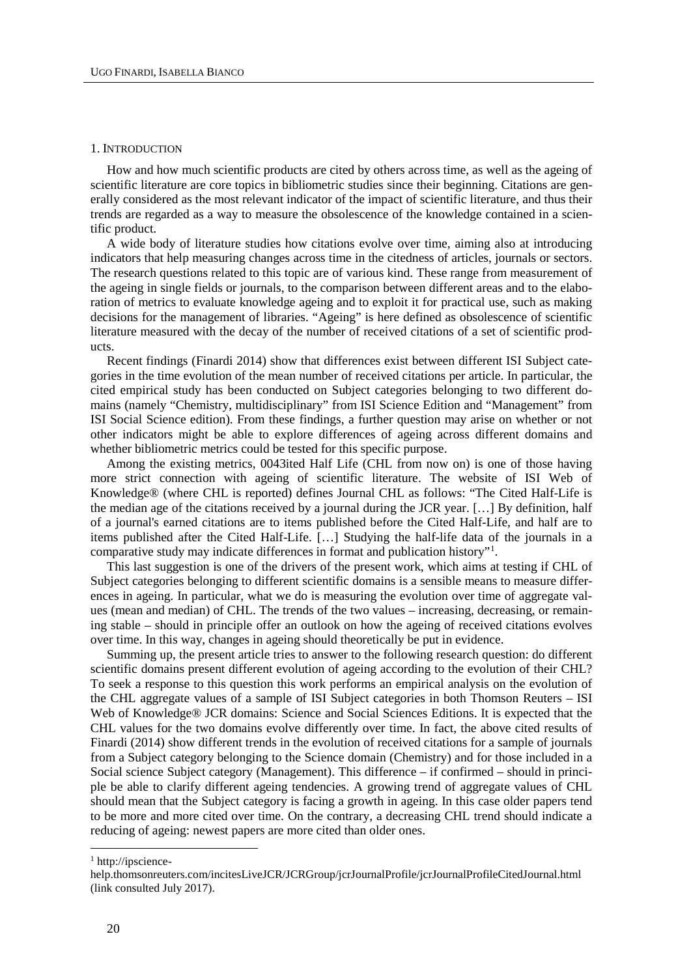#### <span id="page-1-0"></span>1. INTRODUCTION

How and how much scientific products are cited by others across time, as well as the ageing of scientific literature are core topics in bibliometric studies since their beginning. Citations are generally considered as the most relevant indicator of the impact of scientific literature, and thus their trends are regarded as a way to measure the obsolescence of the knowledge contained in a scientific product.

A wide body of literature studies how citations evolve over time, aiming also at introducing indicators that help measuring changes across time in the citedness of articles, journals or sectors. The research questions related to this topic are of various kind. These range from measurement of the ageing in single fields or journals, to the comparison between different areas and to the elaboration of metrics to evaluate knowledge ageing and to exploit it for practical use, such as making decisions for the management of libraries. "Ageing" is here defined as obsolescence of scientific literature measured with the decay of the number of received citations of a set of scientific products.

Recent findings (Finardi 2014) show that differences exist between different ISI Subject categories in the time evolution of the mean number of received citations per article. In particular, the cited empirical study has been conducted on Subject categories belonging to two different domains (namely "Chemistry, multidisciplinary" from ISI Science Edition and "Management" from ISI Social Science edition). From these findings, a further question may arise on whether or not other indicators might be able to explore differences of ageing across different domains and whether bibliometric metrics could be tested for this specific purpose.

Among the existing metrics, 0043ited Half Life (CHL from now on) is one of those having more strict connection with ageing of scientific literature. The website of ISI Web of Knowledge® (where CHL is reported) defines Journal CHL as follows: "The Cited Half-Life is the median age of the citations received by a journal during the JCR year. […] By definition, half of a journal's earned citations are to items published before the Cited Half-Life, and half are to items published after the Cited Half-Life. […] Studying the half-life data of the journals in a comparative study may indicate differences in format and publication history"[1](#page-1-1) .

This last suggestion is one of the drivers of the present work, which aims at testing if CHL of Subject categories belonging to different scientific domains is a sensible means to measure differences in ageing. In particular, what we do is measuring the evolution over time of aggregate values (mean and median) of CHL. The trends of the two values – increasing, decreasing, or remaining stable – should in principle offer an outlook on how the ageing of received citations evolves over time. In this way, changes in ageing should theoretically be put in evidence.

Summing up, the present article tries to answer to the following research question: do different scientific domains present different evolution of ageing according to the evolution of their CHL? To seek a response to this question this work performs an empirical analysis on the evolution of the CHL aggregate values of a sample of ISI Subject categories in both Thomson Reuters – ISI Web of Knowledge® JCR domains: Science and Social Sciences Editions. It is expected that the CHL values for the two domains evolve differently over time. In fact, the above cited results of Finardi (2014) show different trends in the evolution of received citations for a sample of journals from a Subject category belonging to the Science domain (Chemistry) and for those included in a Social science Subject category (Management). This difference – if confirmed – should in principle be able to clarify different ageing tendencies. A growing trend of aggregate values of CHL should mean that the Subject category is facing a growth in ageing. In this case older papers tend to be more and more cited over time. On the contrary, a decreasing CHL trend should indicate a reducing of ageing: newest papers are more cited than older ones.

<span id="page-1-1"></span><sup>1</sup> http://ipscience-

help.thomsonreuters.com/incitesLiveJCR/JCRGroup/jcrJournalProfile/jcrJournalProfileCitedJournal.html (link consulted July 2017).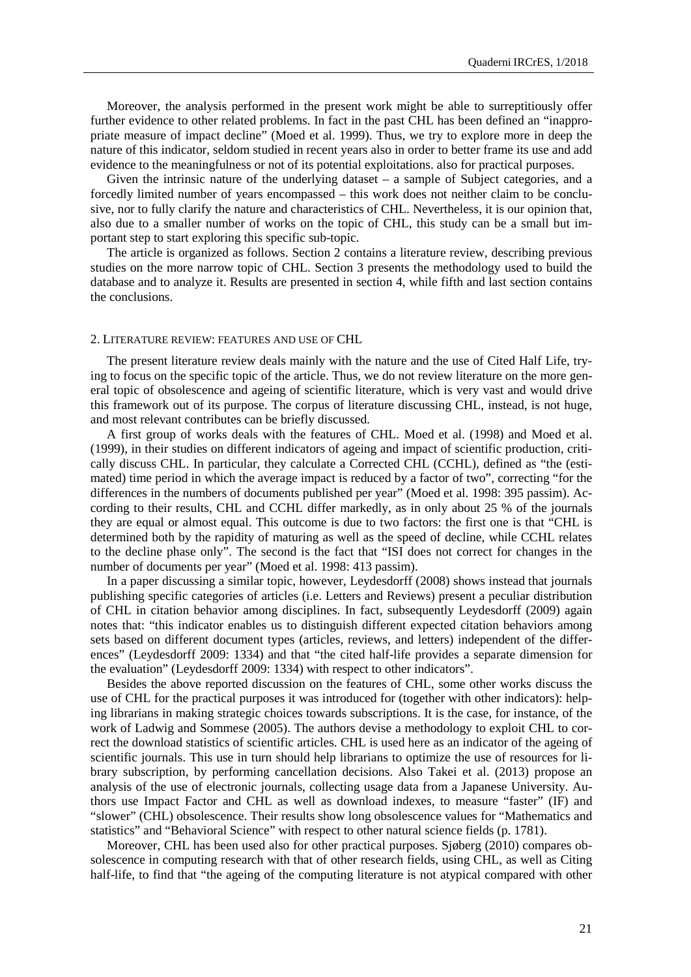Moreover, the analysis performed in the present work might be able to surreptitiously offer further evidence to other related problems. In fact in the past CHL has been defined an "inappropriate measure of impact decline" (Moed et al. 1999). Thus, we try to explore more in deep the nature of this indicator, seldom studied in recent years also in order to better frame its use and add evidence to the meaningfulness or not of its potential exploitations. also for practical purposes.

Given the intrinsic nature of the underlying dataset – a sample of Subject categories, and a forcedly limited number of years encompassed – this work does not neither claim to be conclusive, nor to fully clarify the nature and characteristics of CHL. Nevertheless, it is our opinion that, also due to a smaller number of works on the topic of CHL, this study can be a small but important step to start exploring this specific sub-topic.

The article is organized as follows. Section 2 contains a literature review, describing previous studies on the more narrow topic of CHL. Section 3 presents the methodology used to build the database and to analyze it. Results are presented in section 4, while fifth and last section contains the conclusions.

#### <span id="page-2-0"></span>2. LITERATURE REVIEW: FEATURES AND USE OF CHL

The present literature review deals mainly with the nature and the use of Cited Half Life, trying to focus on the specific topic of the article. Thus, we do not review literature on the more general topic of obsolescence and ageing of scientific literature, which is very vast and would drive this framework out of its purpose. The corpus of literature discussing CHL, instead, is not huge, and most relevant contributes can be briefly discussed.

A first group of works deals with the features of CHL. Moed et al. (1998) and Moed et al. (1999), in their studies on different indicators of ageing and impact of scientific production, critically discuss CHL. In particular, they calculate a Corrected CHL (CCHL), defined as "the (estimated) time period in which the average impact is reduced by a factor of two", correcting "for the differences in the numbers of documents published per year" (Moed et al. 1998: 395 passim). According to their results, CHL and CCHL differ markedly, as in only about 25 % of the journals they are equal or almost equal. This outcome is due to two factors: the first one is that "CHL is determined both by the rapidity of maturing as well as the speed of decline, while CCHL relates to the decline phase only". The second is the fact that "ISI does not correct for changes in the number of documents per year" (Moed et al. 1998: 413 passim).

In a paper discussing a similar topic, however, Leydesdorff (2008) shows instead that journals publishing specific categories of articles (i.e. Letters and Reviews) present a peculiar distribution of CHL in citation behavior among disciplines. In fact, subsequently Leydesdorff (2009) again notes that: "this indicator enables us to distinguish different expected citation behaviors among sets based on different document types (articles, reviews, and letters) independent of the differences" (Leydesdorff 2009: 1334) and that "the cited half-life provides a separate dimension for the evaluation" (Leydesdorff 2009: 1334) with respect to other indicators".

Besides the above reported discussion on the features of CHL, some other works discuss the use of CHL for the practical purposes it was introduced for (together with other indicators): helping librarians in making strategic choices towards subscriptions. It is the case, for instance, of the work of Ladwig and Sommese (2005). The authors devise a methodology to exploit CHL to correct the download statistics of scientific articles. CHL is used here as an indicator of the ageing of scientific journals. This use in turn should help librarians to optimize the use of resources for library subscription, by performing cancellation decisions. Also Takei et al. (2013) propose an analysis of the use of electronic journals, collecting usage data from a Japanese University. Authors use Impact Factor and CHL as well as download indexes, to measure "faster" (IF) and "slower" (CHL) obsolescence. Their results show long obsolescence values for "Mathematics and statistics" and "Behavioral Science" with respect to other natural science fields (p. 1781).

Moreover, CHL has been used also for other practical purposes. Sjøberg (2010) compares obsolescence in computing research with that of other research fields, using CHL, as well as Citing half-life, to find that "the ageing of the computing literature is not atypical compared with other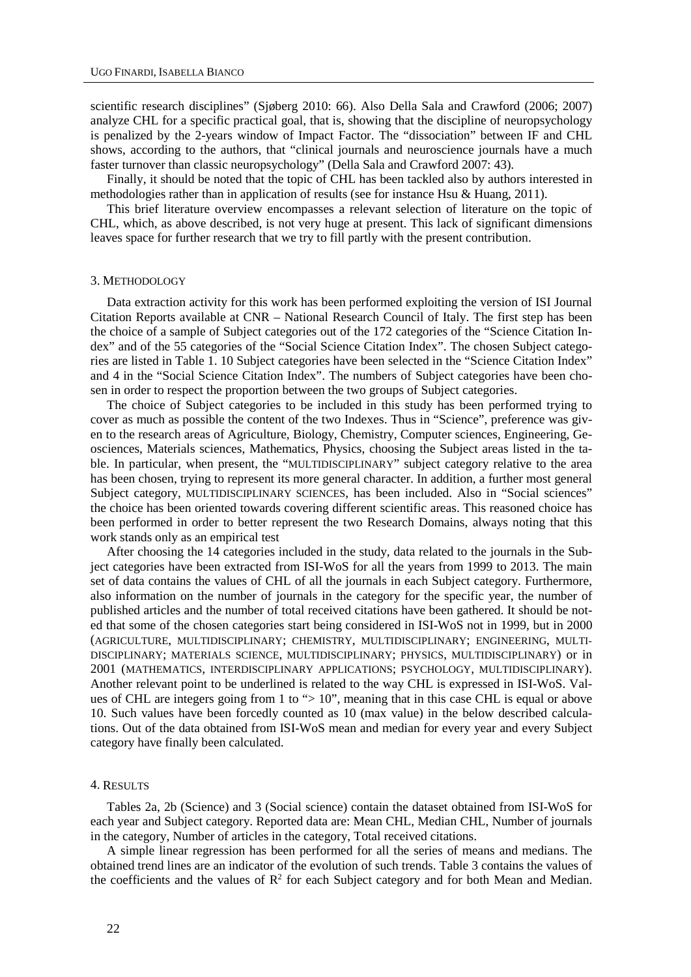scientific research disciplines" (Sjøberg 2010: 66). Also Della Sala and Crawford (2006; 2007) analyze CHL for a specific practical goal, that is, showing that the discipline of neuropsychology is penalized by the 2-years window of Impact Factor. The "dissociation" between IF and CHL shows, according to the authors, that "clinical journals and neuroscience journals have a much faster turnover than classic neuropsychology" (Della Sala and Crawford 2007: 43).

Finally, it should be noted that the topic of CHL has been tackled also by authors interested in methodologies rather than in application of results (see for instance Hsu & Huang, 2011).

This brief literature overview encompasses a relevant selection of literature on the topic of CHL, which, as above described, is not very huge at present. This lack of significant dimensions leaves space for further research that we try to fill partly with the present contribution.

#### <span id="page-3-0"></span>3. METHODOLOGY

Data extraction activity for this work has been performed exploiting the version of ISI Journal Citation Reports available at CNR – National Research Council of Italy. The first step has been the choice of a sample of Subject categories out of the 172 categories of the "Science Citation Index" and of the 55 categories of the "Social Science Citation Index". The chosen Subject categories are listed in Table 1. 10 Subject categories have been selected in the "Science Citation Index" and 4 in the "Social Science Citation Index". The numbers of Subject categories have been chosen in order to respect the proportion between the two groups of Subject categories.

The choice of Subject categories to be included in this study has been performed trying to cover as much as possible the content of the two Indexes. Thus in "Science", preference was given to the research areas of Agriculture, Biology, Chemistry, Computer sciences, Engineering, Geosciences, Materials sciences, Mathematics, Physics, choosing the Subject areas listed in the table. In particular, when present, the "MULTIDISCIPLINARY" subject category relative to the area has been chosen, trying to represent its more general character. In addition, a further most general Subject category, MULTIDISCIPLINARY SCIENCES, has been included. Also in "Social sciences" the choice has been oriented towards covering different scientific areas. This reasoned choice has been performed in order to better represent the two Research Domains, always noting that this work stands only as an empirical test

After choosing the 14 categories included in the study, data related to the journals in the Subject categories have been extracted from ISI-WoS for all the years from 1999 to 2013. The main set of data contains the values of CHL of all the journals in each Subject category. Furthermore, also information on the number of journals in the category for the specific year, the number of published articles and the number of total received citations have been gathered. It should be noted that some of the chosen categories start being considered in ISI-WoS not in 1999, but in 2000 (AGRICULTURE, MULTIDISCIPLINARY; CHEMISTRY, MULTIDISCIPLINARY; ENGINEERING, MULTI-DISCIPLINARY; MATERIALS SCIENCE, MULTIDISCIPLINARY; PHYSICS, MULTIDISCIPLINARY) or in 2001 (MATHEMATICS, INTERDISCIPLINARY APPLICATIONS; PSYCHOLOGY, MULTIDISCIPLINARY). Another relevant point to be underlined is related to the way CHL is expressed in ISI-WoS. Values of CHL are integers going from 1 to "> 10", meaning that in this case CHL is equal or above 10. Such values have been forcedly counted as 10 (max value) in the below described calculations. Out of the data obtained from ISI-WoS mean and median for every year and every Subject category have finally been calculated.

#### <span id="page-3-1"></span>4. RESULTS

Tables 2a, 2b (Science) and 3 (Social science) contain the dataset obtained from ISI-WoS for each year and Subject category. Reported data are: Mean CHL, Median CHL, Number of journals in the category, Number of articles in the category, Total received citations.

A simple linear regression has been performed for all the series of means and medians. The obtained trend lines are an indicator of the evolution of such trends. Table 3 contains the values of the coefficients and the values of  $\mathbb{R}^2$  for each Subject category and for both Mean and Median.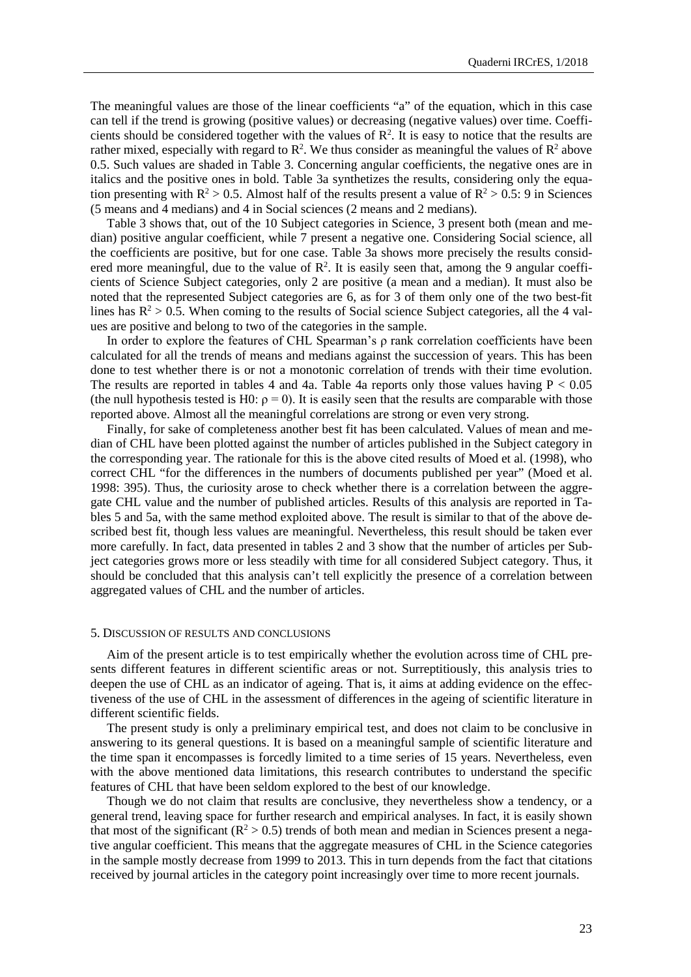The meaningful values are those of the linear coefficients "a" of the equation, which in this case can tell if the trend is growing (positive values) or decreasing (negative values) over time. Coefficients should be considered together with the values of  $\mathbb{R}^2$ . It is easy to notice that the results are rather mixed, especially with regard to  $\mathbb{R}^2$ . We thus consider as meaningful the values of  $\mathbb{R}^2$  above 0.5. Such values are shaded in Table 3. Concerning angular coefficients, the negative ones are in italics and the positive ones in bold. Table 3a synthetizes the results, considering only the equation presenting with  $R^2 > 0.5$ . Almost half of the results present a value of  $R^2 > 0.5$ : 9 in Sciences (5 means and 4 medians) and 4 in Social sciences (2 means and 2 medians).

Table 3 shows that, out of the 10 Subject categories in Science, 3 present both (mean and median) positive angular coefficient, while 7 present a negative one. Considering Social science, all the coefficients are positive, but for one case. Table 3a shows more precisely the results considered more meaningful, due to the value of  $\mathbb{R}^2$ . It is easily seen that, among the 9 angular coefficients of Science Subject categories, only 2 are positive (a mean and a median). It must also be noted that the represented Subject categories are 6, as for 3 of them only one of the two best-fit lines has  $R^2 > 0.5$ . When coming to the results of Social science Subject categories, all the 4 values are positive and belong to two of the categories in the sample.

In order to explore the features of CHL Spearman's ρ rank correlation coefficients have been calculated for all the trends of means and medians against the succession of years. This has been done to test whether there is or not a monotonic correlation of trends with their time evolution. The results are reported in tables 4 and 4a. Table 4a reports only those values having  $P < 0.05$ (the null hypothesis tested is H0:  $p = 0$ ). It is easily seen that the results are comparable with those reported above. Almost all the meaningful correlations are strong or even very strong.

Finally, for sake of completeness another best fit has been calculated. Values of mean and median of CHL have been plotted against the number of articles published in the Subject category in the corresponding year. The rationale for this is the above cited results of Moed et al. (1998), who correct CHL "for the differences in the numbers of documents published per year" (Moed et al. 1998: 395). Thus, the curiosity arose to check whether there is a correlation between the aggregate CHL value and the number of published articles. Results of this analysis are reported in Tables 5 and 5a, with the same method exploited above. The result is similar to that of the above described best fit, though less values are meaningful. Nevertheless, this result should be taken ever more carefully. In fact, data presented in tables 2 and 3 show that the number of articles per Subject categories grows more or less steadily with time for all considered Subject category. Thus, it should be concluded that this analysis can't tell explicitly the presence of a correlation between aggregated values of CHL and the number of articles.

#### <span id="page-4-0"></span>5. DISCUSSION OF RESULTS AND CONCLUSIONS

Aim of the present article is to test empirically whether the evolution across time of CHL presents different features in different scientific areas or not. Surreptitiously, this analysis tries to deepen the use of CHL as an indicator of ageing. That is, it aims at adding evidence on the effectiveness of the use of CHL in the assessment of differences in the ageing of scientific literature in different scientific fields.

The present study is only a preliminary empirical test, and does not claim to be conclusive in answering to its general questions. It is based on a meaningful sample of scientific literature and the time span it encompasses is forcedly limited to a time series of 15 years. Nevertheless, even with the above mentioned data limitations, this research contributes to understand the specific features of CHL that have been seldom explored to the best of our knowledge.

Though we do not claim that results are conclusive, they nevertheless show a tendency, or a general trend, leaving space for further research and empirical analyses. In fact, it is easily shown that most of the significant ( $\mathbb{R}^2 > 0.5$ ) trends of both mean and median in Sciences present a negative angular coefficient. This means that the aggregate measures of CHL in the Science categories in the sample mostly decrease from 1999 to 2013. This in turn depends from the fact that citations received by journal articles in the category point increasingly over time to more recent journals.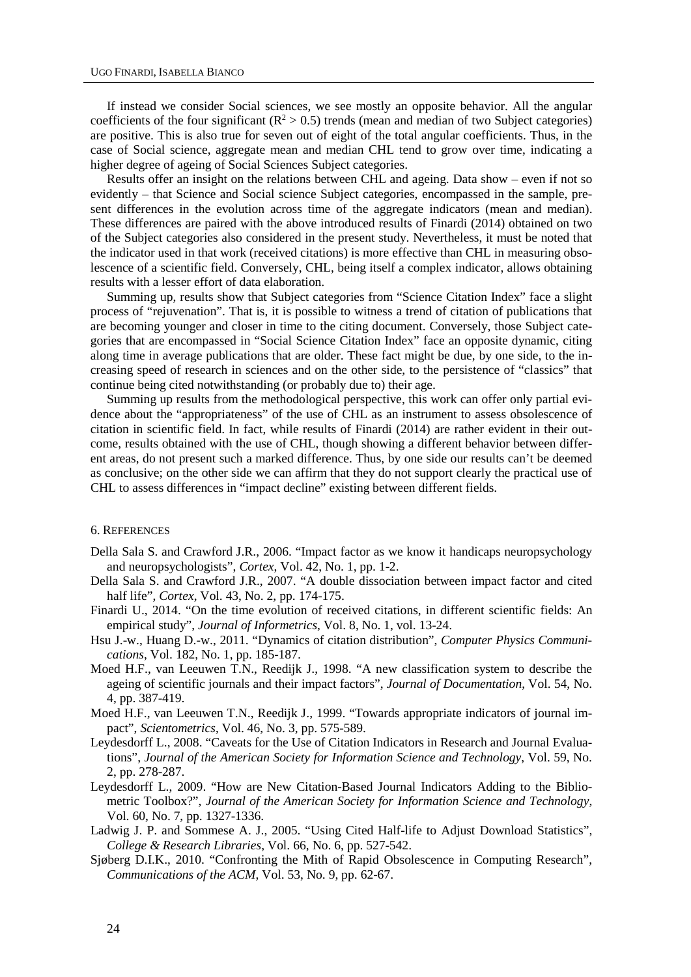If instead we consider Social sciences, we see mostly an opposite behavior. All the angular coefficients of the four significant ( $\mathbb{R}^2 > 0.5$ ) trends (mean and median of two Subject categories) are positive. This is also true for seven out of eight of the total angular coefficients. Thus, in the case of Social science, aggregate mean and median CHL tend to grow over time, indicating a higher degree of ageing of Social Sciences Subject categories.

Results offer an insight on the relations between CHL and ageing. Data show – even if not so evidently – that Science and Social science Subject categories, encompassed in the sample, present differences in the evolution across time of the aggregate indicators (mean and median). These differences are paired with the above introduced results of Finardi (2014) obtained on two of the Subject categories also considered in the present study. Nevertheless, it must be noted that the indicator used in that work (received citations) is more effective than CHL in measuring obsolescence of a scientific field. Conversely, CHL, being itself a complex indicator, allows obtaining results with a lesser effort of data elaboration.

Summing up, results show that Subject categories from "Science Citation Index" face a slight process of "rejuvenation". That is, it is possible to witness a trend of citation of publications that are becoming younger and closer in time to the citing document. Conversely, those Subject categories that are encompassed in "Social Science Citation Index" face an opposite dynamic, citing along time in average publications that are older. These fact might be due, by one side, to the increasing speed of research in sciences and on the other side, to the persistence of "classics" that continue being cited notwithstanding (or probably due to) their age.

Summing up results from the methodological perspective, this work can offer only partial evidence about the "appropriateness" of the use of CHL as an instrument to assess obsolescence of citation in scientific field. In fact, while results of Finardi (2014) are rather evident in their outcome, results obtained with the use of CHL, though showing a different behavior between different areas, do not present such a marked difference. Thus, by one side our results can't be deemed as conclusive; on the other side we can affirm that they do not support clearly the practical use of CHL to assess differences in "impact decline" existing between different fields.

#### <span id="page-5-0"></span>6. REFERENCES

- Della Sala S. and Crawford J.R., 2006. "Impact factor as we know it handicaps neuropsychology and neuropsychologists", *Cortex*, Vol. 42, No. 1, pp. 1-2.
- Della Sala S. and Crawford J.R., 2007. "A double dissociation between impact factor and cited half life", *Cortex*, Vol. 43, No. 2, pp. 174-175.
- Finardi U., 2014. "On the time evolution of received citations, in different scientific fields: An empirical study", *Journal of Informetrics*, Vol. 8, No. 1, vol. 13-24.
- Hsu J.-w., Huang D.-w., 2011. "Dynamics of citation distribution", *Computer Physics Communications*, Vol. 182, No. 1, pp. 185-187.
- Moed H.F., van Leeuwen T.N., Reedijk J., 1998. "A new classification system to describe the ageing of scientific journals and their impact factors", *Journal of Documentation*, Vol. 54, No. 4, pp. 387-419.
- Moed H.F., van Leeuwen T.N., Reedijk J., 1999. "Towards appropriate indicators of journal impact", *Scientometrics*, Vol. 46, No. 3, pp. 575-589.
- Leydesdorff L., 2008. "Caveats for the Use of Citation Indicators in Research and Journal Evaluations", *Journal of the American Society for Information Science and Technology*, Vol. 59, No. 2, pp. 278-287.
- Leydesdorff L., 2009. "How are New Citation-Based Journal Indicators Adding to the Bibliometric Toolbox?", *Journal of the American Society for Information Science and Technology*, Vol. 60, No. 7, pp. 1327-1336.
- Ladwig J. P. and Sommese A. J., 2005. "Using Cited Half-life to Adjust Download Statistics", *College & Research Libraries*, Vol. 66, No. 6, pp. 527-542.
- Sjøberg D.I.K., 2010. "Confronting the Mith of Rapid Obsolescence in Computing Research", *Communications of the ACM*, Vol. 53, No. 9, pp. 62-67.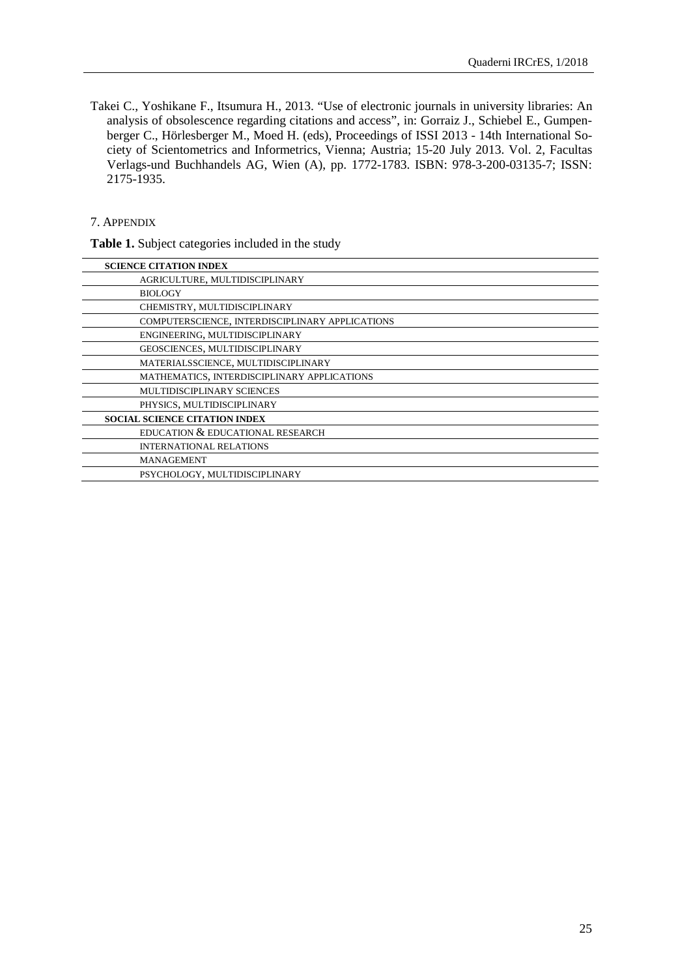Takei C., Yoshikane F., Itsumura H., 2013. "Use of electronic journals in university libraries: An analysis of obsolescence regarding citations and access", in: Gorraiz J., Schiebel E., Gumpenberger C., Hörlesberger M., Moed H. (eds), Proceedings of ISSI 2013 - 14th International Society of Scientometrics and Informetrics, Vienna; Austria; 15-20 July 2013. Vol. 2, Facultas Verlags-und Buchhandels AG, Wien (A), pp. 1772-1783. ISBN: 978-3-200-03135-7; ISSN: 2175-1935.

## <span id="page-6-0"></span>7. APPENDIX

**Table 1.** Subject categories included in the study

| AGRICULTURE, MULTIDISCIPLINARY                  |
|-------------------------------------------------|
| <b>BIOLOGY</b>                                  |
| CHEMISTRY, MULTIDISCIPLINARY                    |
| COMPUTERSCIENCE, INTERDISCIPLINARY APPLICATIONS |
| ENGINEERING, MULTIDISCIPLINARY                  |
| GEOSCIENCES, MULTIDISCIPLINARY                  |
| MATERIALSSCIENCE, MULTIDISCIPLINARY             |
| MATHEMATICS, INTERDISCIPLINARY APPLICATIONS     |
| MULTIDISCIPLINARY SCIENCES                      |
| PHYSICS, MULTIDISCIPLINARY                      |
| <b>SOCIAL SCIENCE CITATION INDEX</b>            |
| EDUCATION & EDUCATIONAL RESEARCH                |
| <b>INTERNATIONAL RELATIONS</b>                  |
| <b>MANAGEMENT</b>                               |
| PSYCHOLOGY, MULTIDISCIPLINARY                   |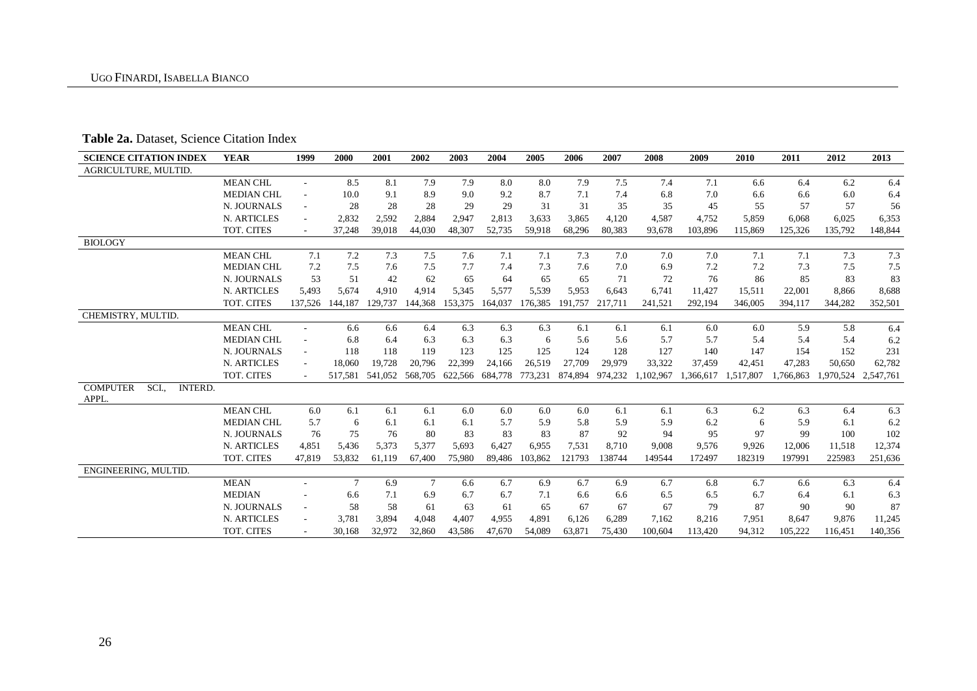# **Table 2a.** Dataset, Science Citation Index

| <b>SCIENCE CITATION INDEX</b>                      | <b>YEAR</b>        | 1999                     | 2000    | 2001    | 2002                    | 2003    | 2004    | 2005    | 2006    | 2007    | 2008      | 2009      | 2010      | 2011      | 2012                | 2013    |
|----------------------------------------------------|--------------------|--------------------------|---------|---------|-------------------------|---------|---------|---------|---------|---------|-----------|-----------|-----------|-----------|---------------------|---------|
| AGRICULTURE, MULTID.                               |                    |                          |         |         |                         |         |         |         |         |         |           |           |           |           |                     |         |
|                                                    | <b>MEAN CHL</b>    | $\overline{\phantom{a}}$ | 8.5     | 8.1     | 7.9                     | 7.9     | 8.0     | 8.0     | 7.9     | 7.5     | 7.4       | 7.1       | 6.6       | 6.4       | 6.2                 | 6.4     |
|                                                    | <b>MEDIAN CHL</b>  | $\overline{\phantom{m}}$ | 10.0    | 9.1     | 8.9                     | 9.0     | 9.2     | 8.7     | 7.1     | 7.4     | 6.8       | 7.0       | 6.6       | 6.6       | 6.0                 | 6.4     |
|                                                    | N. JOURNALS        | $\overline{\phantom{a}}$ | 28      | 28      | 28                      | 29      | 29      | 31      | 31      | 35      | 35        | 45        | 55        | 57        | 57                  | 56      |
|                                                    | N. ARTICLES        | $\overline{\phantom{a}}$ | 2,832   | 2,592   | 2,884                   | 2,947   | 2,813   | 3,633   | 3,865   | 4,120   | 4,587     | 4,752     | 5,859     | 6,068     | 6,025               | 6,353   |
|                                                    | TOT. CITES         | $\sim$                   | 37,248  | 39.018  | 44.030                  | 48.307  | 52,735  | 59.918  | 68.296  | 80.383  | 93.678    | 103.896   | 115,869   | 125.326   | 135,792             | 148,844 |
| <b>BIOLOGY</b>                                     |                    |                          |         |         |                         |         |         |         |         |         |           |           |           |           |                     |         |
|                                                    | <b>MEAN CHL</b>    | 7.1                      | 7.2     | 7.3     | 7.5                     | 7.6     | 7.1     | 7.1     | 7.3     | 7.0     | 7.0       | 7.0       | 7.1       | 7.1       | 7.3                 | 7.3     |
|                                                    | <b>MEDIAN CHL</b>  | 7.2                      | 7.5     | 7.6     | 7.5                     | 7.7     | 7.4     | 7.3     | 7.6     | 7.0     | 6.9       | 7.2       | 7.2       | 7.3       | 7.5                 | 7.5     |
|                                                    | N. JOURNALS        | 53                       | 51      | 42      | 62                      | 65      | 64      | 65      | 65      | 71      | 72        | 76        | 86        | 85        | 83                  | 83      |
|                                                    | N. ARTICLES        | 5,493                    | 5,674   | 4,910   | 4,914                   | 5,345   | 5,577   | 5,539   | 5,953   | 6,643   | 6,741     | 11,427    | 15,511    | 22,001    | 8,866               | 8,688   |
|                                                    | TOT. CITES         | 137.526                  | 144.187 | 129,737 | 144,368                 | 153,375 | 164,037 | 176.385 | 191.757 | 217.711 | 241,521   | 292,194   | 346,005   | 394,117   | 344,282             | 352,501 |
| CHEMISTRY, MULTID.                                 |                    |                          |         |         |                         |         |         |         |         |         |           |           |           |           |                     |         |
|                                                    | <b>MEAN CHL</b>    | $\sim$                   | 6.6     | 6.6     | 6.4                     | 6.3     | 6.3     | 6.3     | 6.1     | 6.1     | 6.1       | 6.0       | 6.0       | 5.9       | 5.8                 | 6.4     |
|                                                    | <b>MEDIAN CHL</b>  | $\overline{\phantom{a}}$ | 6.8     | 6.4     | 6.3                     | 6.3     | 6.3     | 6       | 5.6     | 5.6     | 5.7       | 5.7       | 5.4       | 5.4       | 5.4                 | 6.2     |
|                                                    | N. JOURNALS        | $\sim$                   | 118     | 118     | 119                     | 123     | 125     | 125     | 124     | 128     | 127       | 140       | 147       | 154       | 152                 | 231     |
|                                                    | N. ARTICLES        |                          | 18,060  | 19,728  | 20,796                  | 22,399  | 24,166  | 26,519  | 27,709  | 29,979  | 33,322    | 37,459    | 42,451    | 47,283    | 50,650              | 62,782  |
|                                                    | TOT. CITES         |                          | 517.581 |         | 541,052 568,705 622,566 |         | 684,778 | 773,231 | 874.894 | 974,232 | 1.102.967 | 1.366.617 | 1,517,807 | 1.766.863 | 1,970,524 2,547,761 |         |
| <b>COMPUTER</b><br>SCI.<br><b>INTERD.</b><br>APPL. |                    |                          |         |         |                         |         |         |         |         |         |           |           |           |           |                     |         |
|                                                    | <b>MEAN CHL</b>    | 6.0                      | 6.1     | 6.1     | 6.1                     | 6.0     | 6.0     | 6.0     | 6.0     | 6.1     | 6.1       | 6.3       | 6.2       | 6.3       | 6.4                 | 6.3     |
|                                                    | <b>MEDIAN CHL</b>  | 5.7                      | 6       | 6.1     | 6.1                     | 6.1     | 5.7     | 5.9     | 5.8     | 5.9     | 5.9       | 6.2       | 6         | 5.9       | 6.1                 | 6.2     |
|                                                    | N. JOURNALS        | 76                       | 75      | 76      | 80                      | 83      | 83      | 83      | 87      | 92      | 94        | 95        | 97        | 99        | 100                 | 102     |
|                                                    | <b>N. ARTICLES</b> | 4,851                    | 5,436   | 5,373   | 5,377                   | 5,693   | 6,427   | 6,955   | 7.531   | 8,710   | 9.008     | 9,576     | 9,926     | 12,006    | 11,518              | 12,374  |
|                                                    | TOT. CITES         | 47.819                   | 53,832  | 61.119  | 67,400                  | 75,980  | 89,486  | 103.862 | 121793  | 138744  | 149544    | 172497    | 182319    | 197991    | 225983              | 251,636 |
| ENGINEERING, MULTID.                               |                    |                          |         |         |                         |         |         |         |         |         |           |           |           |           |                     |         |
|                                                    | <b>MEAN</b>        |                          | $\tau$  | 6.9     | $\tau$                  | 6.6     | 6.7     | 6.9     | 6.7     | 6.9     | 6.7       | 6.8       | 6.7       | 6.6       | 6.3                 | 6.4     |
|                                                    | <b>MEDIAN</b>      |                          | 6.6     | 7.1     | 6.9                     | 6.7     | 6.7     | 7.1     | 6.6     | 6.6     | 6.5       | 6.5       | 6.7       | 6.4       | 6.1                 | 6.3     |
|                                                    | N. JOURNALS        |                          | 58      | 58      | 61                      | 63      | 61      | 65      | 67      | 67      | 67        | 79        | 87        | 90        | 90                  | 87      |
|                                                    | N. ARTICLES        |                          | 3,781   | 3,894   | 4,048                   | 4,407   | 4,955   | 4,891   | 6,126   | 6,289   | 7,162     | 8,216     | 7,951     | 8,647     | 9,876               | 11,245  |
|                                                    | TOT. CITES         |                          | 30,168  | 32,972  | 32,860                  | 43,586  | 47,670  | 54.089  | 63,871  | 75,430  | 100,604   | 113,420   | 94.312    | 105.222   | 116.451             | 140,356 |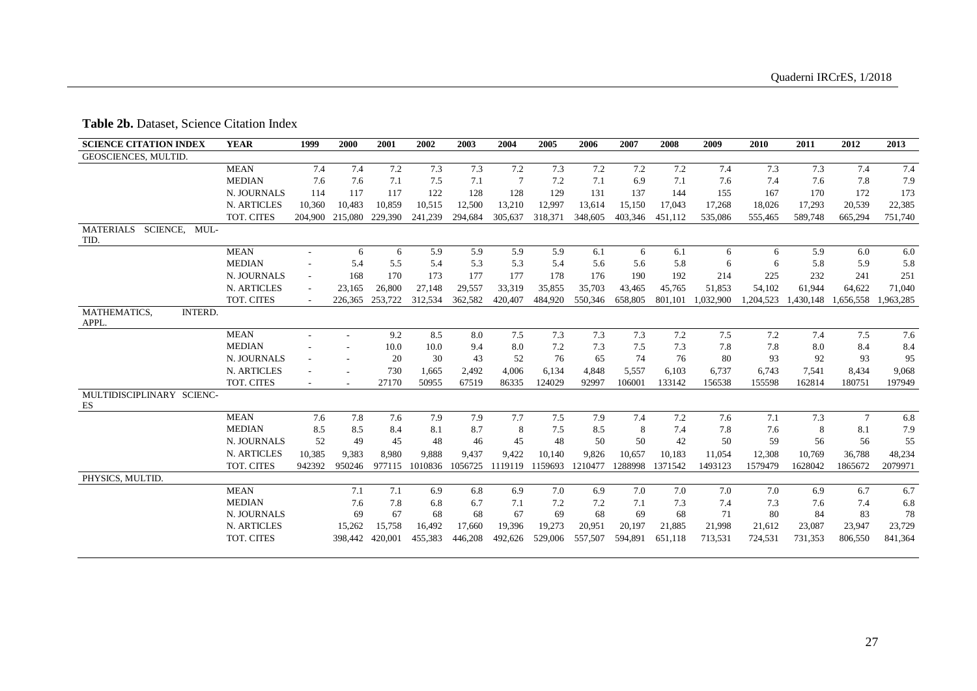## **Table 2b.** Dataset, Science Citation Index

| <b>SCIENCE CITATION INDEX</b>                | <b>YEAR</b>   | 1999    | 2000    | 2001            | 2002    | 2003    | 2004    | 2005    | 2006    | 2007    | 2008    | 2009      | 2010      | 2011    | 2012                | 2013      |
|----------------------------------------------|---------------|---------|---------|-----------------|---------|---------|---------|---------|---------|---------|---------|-----------|-----------|---------|---------------------|-----------|
| <b>GEOSCIENCES, MULTID.</b>                  |               |         |         |                 |         |         |         |         |         |         |         |           |           |         |                     |           |
|                                              | <b>MEAN</b>   | 7.4     | 7.4     | 7.2             | 7.3     | 7.3     | 7.2     | 7.3     | 7.2     | 7.2     | 7.2     | 7.4       | 7.3       | 7.3     | 7.4                 | 7.4       |
|                                              | <b>MEDIAN</b> | 7.6     | 7.6     | 7.1             | 7.5     | 7.1     | 7       | 7.2     | 7.1     | 6.9     | 7.1     | 7.6       | 7.4       | 7.6     | 7.8                 | 7.9       |
|                                              | N. JOURNALS   | 114     | 117     | 117             | 122     | 128     | 128     | 129     | 131     | 137     | 144     | 155       | 167       | 170     | 172                 | 173       |
|                                              | N. ARTICLES   | 10,360  | 10,483  | 10,859          | 10,515  | 12,500  | 13,210  | 12,997  | 13,614  | 15,150  | 17,043  | 17,268    | 18,026    | 17,293  | 20,539              | 22,385    |
|                                              | TOT. CITES    | 204,900 | 215,080 | 229,390         | 241,239 | 294,684 | 305,637 | 318,371 | 348,605 | 403,346 | 451,112 | 535,086   | 555,465   | 589,748 | 665,294             | 751,740   |
| SCIENCE,<br><b>MATERIALS</b><br>MUL-<br>TID. |               |         |         |                 |         |         |         |         |         |         |         |           |           |         |                     |           |
|                                              | <b>MEAN</b>   | $\sim$  | 6       | 6               | 5.9     | 5.9     | 5.9     | 5.9     | 6.1     | 6       | 6.1     | 6         | 6         | 5.9     | 6.0                 | 6.0       |
|                                              | <b>MEDIAN</b> |         | 5.4     | 5.5             | 5.4     | 5.3     | 5.3     | 5.4     | 5.6     | 5.6     | 5.8     | 6         | 6         | 5.8     | 5.9                 | 5.8       |
|                                              | N. JOURNALS   |         | 168     | 170             | 173     | 177     | 177     | 178     | 176     | 190     | 192     | 214       | 225       | 232     | 241                 | 251       |
|                                              | N. ARTICLES   |         | 23,165  | 26,800          | 27,148  | 29,557  | 33,319  | 35,855  | 35,703  | 43,465  | 45,765  | 51,853    | 54,102    | 61,944  | 64,622              | 71,040    |
|                                              | TOT. CITES    |         |         | 226,365 253,722 | 312,534 | 362,582 | 420,407 | 484,920 | 550,346 | 658,805 | 801,101 | 1,032,900 | 1,204,523 |         | 1,430,148 1,656,558 | 1,963,285 |
| MATHEMATICS,<br><b>INTERD.</b><br>APPL.      |               |         |         |                 |         |         |         |         |         |         |         |           |           |         |                     |           |
|                                              | <b>MEAN</b>   |         |         | 9.2             | 8.5     | 8.0     | 7.5     | 7.3     | 7.3     | 7.3     | 7.2     | 7.5       | 7.2       | 7.4     | 7.5                 | 7.6       |
|                                              | <b>MEDIAN</b> |         |         | 10.0            | 10.0    | 9.4     | 8.0     | 7.2     | 7.3     | 7.5     | 7.3     | 7.8       | 7.8       | 8.0     | 8.4                 | 8.4       |
|                                              | N. JOURNALS   |         |         | 20              | 30      | 43      | 52      | 76      | 65      | 74      | 76      | 80        | 93        | 92      | 93                  | 95        |
|                                              | N. ARTICLES   |         |         | 730             | 1,665   | 2,492   | 4,006   | 6,134   | 4,848   | 5,557   | 6,103   | 6,737     | 6,743     | 7,541   | 8,434               | 9,068     |
|                                              | TOT. CITES    |         |         | 27170           | 50955   | 67519   | 86335   | 124029  | 92997   | 106001  | 133142  | 156538    | 155598    | 162814  | 180751              | 197949    |
| MULTIDISCIPLINARY SCIENC-<br>ES              |               |         |         |                 |         |         |         |         |         |         |         |           |           |         |                     |           |
|                                              | <b>MEAN</b>   | 7.6     | 7.8     | 7.6             | 7.9     | 7.9     | 7.7     | 7.5     | 7.9     | 7.4     | 7.2     | 7.6       | 7.1       | 7.3     | $\tau$              | 6.8       |
|                                              | <b>MEDIAN</b> | 8.5     | 8.5     | 8.4             | 8.1     | 8.7     | 8       | 7.5     | 8.5     | 8       | 7.4     | 7.8       | 7.6       | 8       | 8.1                 | 7.9       |
|                                              | N. JOURNALS   | 52      | 49      | 45              | 48      | 46      | 45      | 48      | 50      | 50      | 42      | 50        | 59        | 56      | 56                  | 55        |
|                                              | N. ARTICLES   | 10,385  | 9,383   | 8,980           | 9.888   | 9,437   | 9,422   | 10,140  | 9,826   | 10,657  | 10,183  | 11,054    | 12,308    | 10,769  | 36,788              | 48,234    |
|                                              | TOT. CITES    | 942392  | 950246  | 977115          | 1010836 | 1056725 | 1119119 | 1159693 | 1210477 | 1288998 | 1371542 | 1493123   | 1579479   | 1628042 | 1865672             | 2079971   |
| PHYSICS, MULTID.                             |               |         |         |                 |         |         |         |         |         |         |         |           |           |         |                     |           |
|                                              | <b>MEAN</b>   |         | 7.1     | 7.1             | 6.9     | 6.8     | 6.9     | 7.0     | 6.9     | 7.0     | 7.0     | 7.0       | 7.0       | 6.9     | 6.7                 | 6.7       |
|                                              | <b>MEDIAN</b> |         | 7.6     | 7.8             | 6.8     | 6.7     | 7.1     | 7.2     | 7.2     | 7.1     | 7.3     | 7.4       | 7.3       | 7.6     | 7.4                 | 6.8       |
|                                              | N. JOURNALS   |         | 69      | 67              | 68      | 68      | 67      | 69      | 68      | 69      | 68      | 71        | 80        | 84      | 83                  | 78        |
|                                              | N. ARTICLES   |         | 15,262  | 15,758          | 16,492  | 17,660  | 19,396  | 19,273  | 20,951  | 20,197  | 21,885  | 21,998    | 21,612    | 23,087  | 23,947              | 23,729    |
|                                              | TOT. CITES    |         | 398,442 | 420,001         | 455,383 | 446,208 | 492,626 | 529,006 | 557,507 | 594,891 | 651,118 | 713,531   | 724,531   | 731,353 | 806,550             | 841,364   |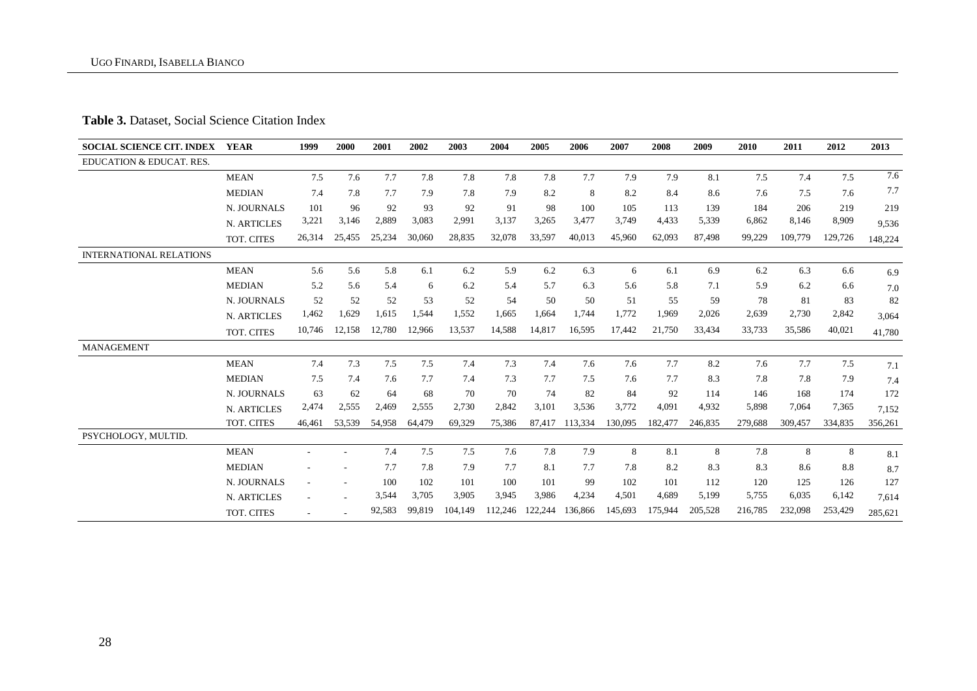## **Table 3.** Dataset, Social Science Citation Index

| <b>SOCIAL SCIENCE CIT. INDEX</b> | YEAR               | 1999   | 2000                     | 2001   | 2002   | 2003    | 2004    | 2005    | 2006    | 2007    | 2008    | 2009    | 2010    | 2011    | 2012    | 2013    |
|----------------------------------|--------------------|--------|--------------------------|--------|--------|---------|---------|---------|---------|---------|---------|---------|---------|---------|---------|---------|
| EDUCATION & EDUCAT. RES.         |                    |        |                          |        |        |         |         |         |         |         |         |         |         |         |         |         |
|                                  | <b>MEAN</b>        | 7.5    | 7.6                      | 7.7    | 7.8    | 7.8     | 7.8     | 7.8     | 7.7     | 7.9     | 7.9     | 8.1     | 7.5     | 7.4     | 7.5     | 7.6     |
|                                  | <b>MEDIAN</b>      | 7.4    | 7.8                      | 7.7    | 7.9    | 7.8     | 7.9     | 8.2     | 8       | 8.2     | 8.4     | 8.6     | 7.6     | 7.5     | 7.6     | 7.7     |
|                                  | N. JOURNALS        | 101    | 96                       | 92     | 93     | 92      | 91      | 98      | 100     | 105     | 113     | 139     | 184     | 206     | 219     | 219     |
|                                  | N. ARTICLES        | 3,221  | 3,146                    | 2,889  | 3,083  | 2,991   | 3,137   | 3,265   | 3,477   | 3,749   | 4,433   | 5,339   | 6,862   | 8,146   | 8,909   | 9,536   |
|                                  | TOT. CITES         | 26,314 | 25,455                   | 25,234 | 30,060 | 28,835  | 32,078  | 33,597  | 40,013  | 45,960  | 62,093  | 87,498  | 99,229  | 109,779 | 129,726 | 148,224 |
| <b>INTERNATIONAL RELATIONS</b>   |                    |        |                          |        |        |         |         |         |         |         |         |         |         |         |         |         |
|                                  | <b>MEAN</b>        | 5.6    | 5.6                      | 5.8    | 6.1    | 6.2     | 5.9     | 6.2     | 6.3     | 6       | 6.1     | 6.9     | 6.2     | 6.3     | 6.6     | 6.9     |
|                                  | <b>MEDIAN</b>      | 5.2    | 5.6                      | 5.4    | 6      | 6.2     | 5.4     | 5.7     | 6.3     | 5.6     | 5.8     | 7.1     | 5.9     | 6.2     | 6.6     | 7.0     |
|                                  | N. JOURNALS        | 52     | 52                       | 52     | 53     | 52      | 54      | 50      | 50      | 51      | 55      | 59      | 78      | 81      | 83      | 82      |
|                                  | N. ARTICLES        | 1,462  | 1,629                    | 1,615  | 1.544  | 1,552   | 1,665   | 1,664   | 1,744   | 1,772   | 1.969   | 2,026   | 2,639   | 2,730   | 2,842   | 3,064   |
|                                  | TOT. CITES         | 10,746 | 12,158                   | 12,780 | 12,966 | 13,537  | 14,588  | 14,817  | 16,595  | 17,442  | 21,750  | 33,434  | 33,733  | 35,586  | 40,021  | 41,780  |
| <b>MANAGEMENT</b>                |                    |        |                          |        |        |         |         |         |         |         |         |         |         |         |         |         |
|                                  | <b>MEAN</b>        | 7.4    | 7.3                      | 7.5    | 7.5    | 7.4     | 7.3     | 7.4     | 7.6     | 7.6     | 7.7     | 8.2     | 7.6     | 7.7     | 7.5     | 7.1     |
|                                  | <b>MEDIAN</b>      | 7.5    | 7.4                      | 7.6    | 7.7    | 7.4     | 7.3     | 7.7     | 7.5     | 7.6     | 7.7     | 8.3     | 7.8     | 7.8     | 7.9     | 7.4     |
|                                  | N. JOURNALS        | 63     | 62                       | 64     | 68     | 70      | 70      | 74      | 82      | 84      | 92      | 114     | 146     | 168     | 174     | 172     |
|                                  | <b>N. ARTICLES</b> | 2,474  | 2,555                    | 2,469  | 2,555  | 2,730   | 2,842   | 3,101   | 3,536   | 3,772   | 4,091   | 4,932   | 5,898   | 7,064   | 7,365   | 7,152   |
|                                  | TOT. CITES         | 46.461 | 53,539                   | 54,958 | 64,479 | 69,329  | 75,386  | 87,417  | 113,334 | 130,095 | 182,477 | 246,835 | 279,688 | 309,457 | 334,835 | 356,261 |
| PSYCHOLOGY, MULTID.              |                    |        |                          |        |        |         |         |         |         |         |         |         |         |         |         |         |
|                                  | <b>MEAN</b>        |        | $\overline{\phantom{a}}$ | 7.4    | 7.5    | 7.5     | 7.6     | 7.8     | 7.9     | 8       | 8.1     | 8       | 7.8     | 8       | 8       | 8.1     |
|                                  | <b>MEDIAN</b>      |        |                          | 7.7    | 7.8    | 7.9     | 7.7     | 8.1     | 7.7     | 7.8     | 8.2     | 8.3     | 8.3     | 8.6     | 8.8     | 8.7     |
|                                  | N. JOURNALS        |        | $\overline{\phantom{a}}$ | 100    | 102    | 101     | 100     | 101     | 99      | 102     | 101     | 112     | 120     | 125     | 126     | 127     |
|                                  | N. ARTICLES        |        |                          | 3,544  | 3,705  | 3,905   | 3,945   | 3,986   | 4,234   | 4,501   | 4,689   | 5.199   | 5,755   | 6,035   | 6,142   | 7,614   |
|                                  | TOT. CITES         |        |                          | 92,583 | 99.819 | 104.149 | 112,246 | 122.244 | 136,866 | 145.693 | 175.944 | 205.528 | 216,785 | 232,098 | 253,429 | 285,621 |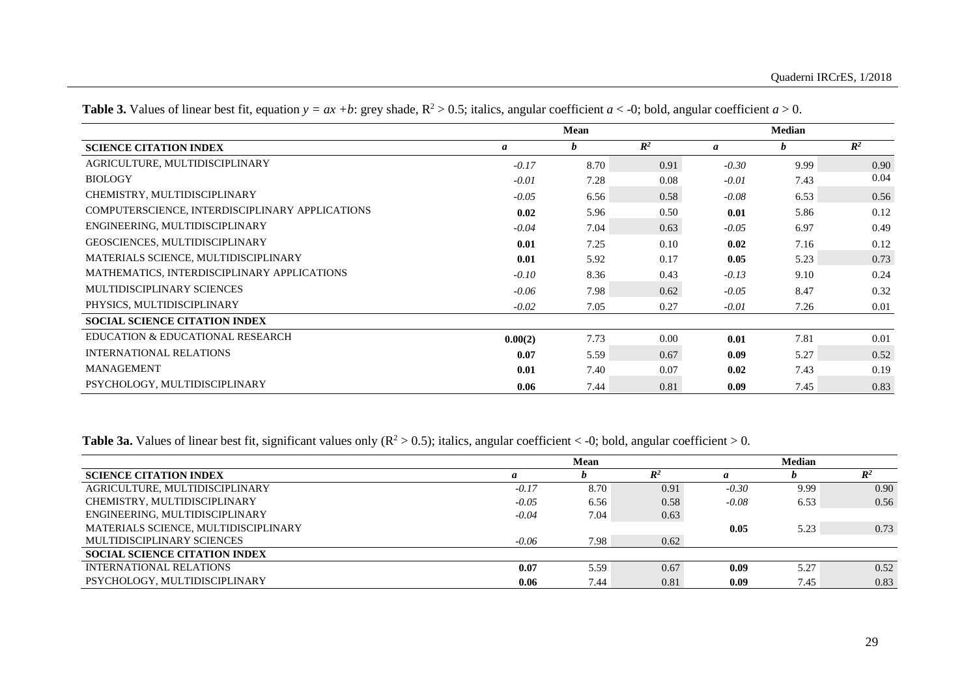|                                                 |         | Mean |                |         | <b>Median</b> |                |
|-------------------------------------------------|---------|------|----------------|---------|---------------|----------------|
| <b>SCIENCE CITATION INDEX</b>                   | a       | b    | $\mathbb{R}^2$ | a       | b             | $\mathbb{R}^2$ |
| AGRICULTURE, MULTIDISCIPLINARY                  | $-0.17$ | 8.70 | 0.91           | $-0.30$ | 9.99          | 0.90           |
| <b>BIOLOGY</b>                                  | $-0.01$ | 7.28 | 0.08           | $-0.01$ | 7.43          | 0.04           |
| CHEMISTRY, MULTIDISCIPLINARY                    | $-0.05$ | 6.56 | 0.58           | $-0.08$ | 6.53          | 0.56           |
| COMPUTERSCIENCE, INTERDISCIPLINARY APPLICATIONS | 0.02    | 5.96 | 0.50           | 0.01    | 5.86          | 0.12           |
| ENGINEERING, MULTIDISCIPLINARY                  | $-0.04$ | 7.04 | 0.63           | $-0.05$ | 6.97          | 0.49           |
| GEOSCIENCES, MULTIDISCIPLINARY                  | 0.01    | 7.25 | 0.10           | 0.02    | 7.16          | 0.12           |
| MATERIALS SCIENCE, MULTIDISCIPLINARY            | 0.01    | 5.92 | 0.17           | 0.05    | 5.23          | 0.73           |
| MATHEMATICS, INTERDISCIPLINARY APPLICATIONS     | $-0.10$ | 8.36 | 0.43           | $-0.13$ | 9.10          | 0.24           |
| MULTIDISCIPLINARY SCIENCES                      | $-0.06$ | 7.98 | 0.62           | $-0.05$ | 8.47          | 0.32           |
| PHYSICS, MULTIDISCIPLINARY                      | $-0.02$ | 7.05 | 0.27           | $-0.01$ | 7.26          | 0.01           |
| <b>SOCIAL SCIENCE CITATION INDEX</b>            |         |      |                |         |               |                |
| EDUCATION & EDUCATIONAL RESEARCH                | 0.00(2) | 7.73 | 0.00           | 0.01    | 7.81          | 0.01           |
| <b>INTERNATIONAL RELATIONS</b>                  | 0.07    | 5.59 | 0.67           | 0.09    | 5.27          | 0.52           |
| <b>MANAGEMENT</b>                               | 0.01    | 7.40 | 0.07           | 0.02    | 7.43          | 0.19           |
| PSYCHOLOGY, MULTIDISCIPLINARY                   | 0.06    | 7.44 | 0.81           | 0.09    | 7.45          | 0.83           |

**Table 3.** Values of linear best fit, equation  $y = ax + b$ : grey shade,  $R^2 > 0.5$ ; italics, angular coefficient  $a < 0$ ; bold, angular coefficient  $a > 0$ .

**Table 3a.** Values of linear best fit, significant values only  $(R^2 > 0.5)$ ; italics, angular coefficient < -0; bold, angular coefficient > 0.

|                                      |         | Mean |                |         | <b>Median</b> |                |
|--------------------------------------|---------|------|----------------|---------|---------------|----------------|
| <b>SCIENCE CITATION INDEX</b>        | a       |      | $\mathbb{R}^2$ | a       |               | $\mathbb{R}^2$ |
| AGRICULTURE, MULTIDISCIPLINARY       | $-0.17$ | 8.70 | 0.91           | $-0.30$ | 9.99          | 0.90           |
| CHEMISTRY, MULTIDISCIPLINARY         | $-0.05$ | 6.56 | 0.58           | $-0.08$ | 6.53          | 0.56           |
| ENGINEERING, MULTIDISCIPLINARY       | $-0.04$ | 7.04 | 0.63           |         |               |                |
| MATERIALS SCIENCE, MULTIDISCIPLINARY |         |      |                | 0.05    | 5.23          | 0.73           |
| MULTIDISCIPLINARY SCIENCES           | $-0.06$ | 7.98 | 0.62           |         |               |                |
| <b>SOCIAL SCIENCE CITATION INDEX</b> |         |      |                |         |               |                |
| <b>INTERNATIONAL RELATIONS</b>       | 0.07    | 5.59 | 0.67           | 0.09    | 5.27          | 0.52           |
| PSYCHOLOGY, MULTIDISCIPLINARY        | 0.06    | 7.44 | 0.81           | 0.09    | 7.45          | 0.83           |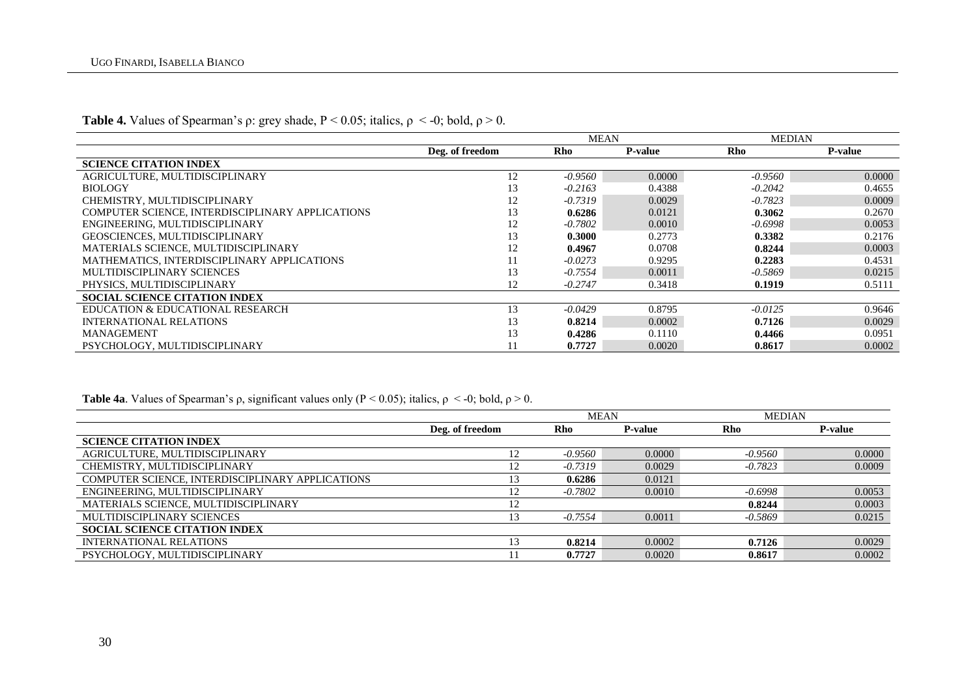|                                                  |                 | <b>MEAN</b> |                | <b>MEDIAN</b> |                |
|--------------------------------------------------|-----------------|-------------|----------------|---------------|----------------|
|                                                  | Deg. of freedom | Rho         | <b>P-value</b> | <b>Rho</b>    | <b>P-value</b> |
| <b>SCIENCE CITATION INDEX</b>                    |                 |             |                |               |                |
| AGRICULTURE, MULTIDISCIPLINARY                   | 12              | $-0.9560$   | 0.0000         | $-0.9560$     | 0.0000         |
| <b>BIOLOGY</b>                                   | 13              | $-0.2163$   | 0.4388         | $-0.2042$     | 0.4655         |
| CHEMISTRY, MULTIDISCIPLINARY                     | 12              | $-0.7319$   | 0.0029         | $-0.7823$     | 0.0009         |
| COMPUTER SCIENCE, INTERDISCIPLINARY APPLICATIONS | 13              | 0.6286      | 0.0121         | 0.3062        | 0.2670         |
| ENGINEERING, MULTIDISCIPLINARY                   | 12              | $-0.7802$   | 0.0010         | $-0.6998$     | 0.0053         |
| <b>GEOSCIENCES, MULTIDISCIPLINARY</b>            | 13              | 0.3000      | 0.2773         | 0.3382        | 0.2176         |
| MATERIALS SCIENCE, MULTIDISCIPLINARY             | 12              | 0.4967      | 0.0708         | 0.8244        | 0.0003         |
| MATHEMATICS, INTERDISCIPLINARY APPLICATIONS      | 11              | $-0.0273$   | 0.9295         | 0.2283        | 0.4531         |
| MULTIDISCIPLINARY SCIENCES                       | 13              | $-0.7554$   | 0.0011         | -0.5869       | 0.0215         |
| PHYSICS, MULTIDISCIPLINARY                       | 12              | $-0.2747$   | 0.3418         | 0.1919        | 0.5111         |
| <b>SOCIAL SCIENCE CITATION INDEX</b>             |                 |             |                |               |                |
| EDUCATION & EDUCATIONAL RESEARCH                 | 13              | $-0.0429$   | 0.8795         | $-0.0125$     | 0.9646         |
| INTERNATIONAL RELATIONS                          | 13              | 0.8214      | 0.0002         | 0.7126        | 0.0029         |
| <b>MANAGEMENT</b>                                | 13              | 0.4286      | 0.1110         | 0.4466        | 0.0951         |
| PSYCHOLOGY, MULTIDISCIPLINARY                    |                 | 0.7727      | 0.0020         | 0.8617        | 0.0002         |

**Table 4.** Values of Spearman's *ρ*: grey shade,  $P < 0.05$ ; italics,  $\rho < -0$ ; bold,  $\rho > 0$ .

**Table 4a**. Values of Spearman's *ρ*, significant values only ( $P < 0.05$ ); italics,  $\rho < -0$ ; bold,  $\rho > 0$ .

|                                                  |                 | <b>MEAN</b> |                | <b>MEDIAN</b> |                |  |
|--------------------------------------------------|-----------------|-------------|----------------|---------------|----------------|--|
|                                                  | Deg. of freedom | Rho         | <b>P-value</b> | Rho           | <b>P-value</b> |  |
| <b>SCIENCE CITATION INDEX</b>                    |                 |             |                |               |                |  |
| AGRICULTURE, MULTIDISCIPLINARY                   | 12              | $-0.9560$   | 0.0000         | $-0.9560$     | 0.0000         |  |
| CHEMISTRY, MULTIDISCIPLINARY                     | 12              | $-0.7319$   | 0.0029         | $-0.7823$     | 0.0009         |  |
| COMPUTER SCIENCE, INTERDISCIPLINARY APPLICATIONS | 13              | 0.6286      | 0.0121         |               |                |  |
| ENGINEERING, MULTIDISCIPLINARY                   | 12              | $-0.7802$   | 0.0010         | -0.6998       | 0.0053         |  |
| MATERIALS SCIENCE, MULTIDISCIPLINARY             | 12              |             |                | 0.8244        | 0.0003         |  |
| MULTIDISCIPLINARY SCIENCES                       | 13              | $-0.7554$   | 0.0011         | -0.5869       | 0.0215         |  |
| <b>SOCIAL SCIENCE CITATION INDEX</b>             |                 |             |                |               |                |  |
| <b>INTERNATIONAL RELATIONS</b>                   | 13              | 0.8214      | 0.0002         | 0.7126        | 0.0029         |  |
| PSYCHOLOGY, MULTIDISCIPLINARY                    | 11              | 0.7727      | 0.0020         | 0.8617        | 0.0002         |  |